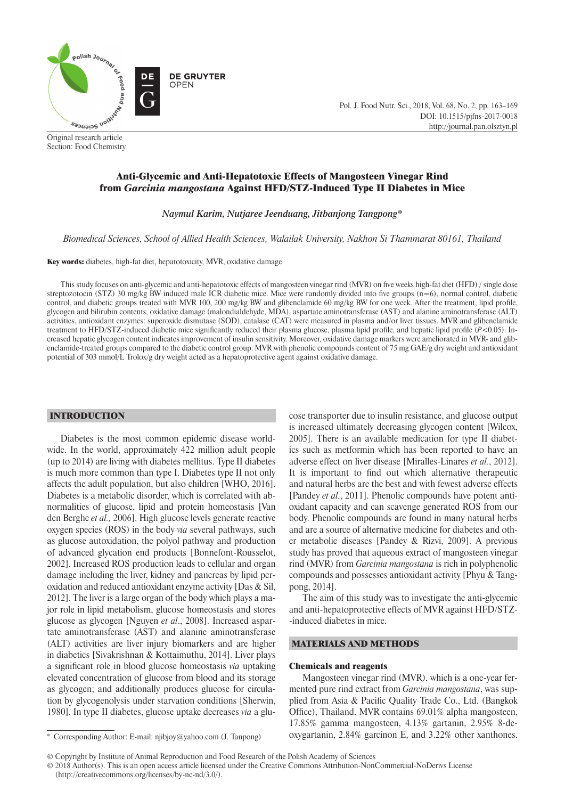

Section: Food Chemistry

# Anti-Glycemic and Anti-Hepatotoxic Effects of Mangosteen Vinegar Rind from *Garcinia mangostana* Against HFD/STZ-Induced Type II Diabetes in Mice

*Naymul Karim, Nutjaree Jeenduang, Jitbanjong Tangpong\**

*Biomedical Sciences, School of Allied Health Sciences, Walailak University, Nakhon Si Thammarat 80161, Thailand*

Key words: diabetes, high-fat diet, hepatotoxicity, MVR, oxidative damage

This study focuses on anti-glycemic and anti-hepatotoxic effects of mangosteen vinegar rind (MVR) on five weeks high-fat diet (HFD) / single dose streptozotocin (STZ) 30 mg/kg BW induced male ICR diabetic mice. Mice were randomly divided into five groups  $(n=6)$ , normal control, diabetic control, and diabetic groups treated with MVR 100, 200 mg/kg BW and glibenclamide 60 mg/kg BW for one week. After the treatment, lipid profile, glycogen and bilirubin contents, oxidative damage (malondialdehyde, MDA), aspartate aminotransferase (AST) and alanine aminotransferase (ALT) activities, antioxidant enzymes: superoxide dismutase (SOD), catalase (CAT) were measured in plasma and/or liver tissues. MVR and glibenclamide treatment to HFD/STZ-induced diabetic mice significantly reduced their plasma glucose, plasma lipid profile, and hepatic lipid profile  $(P<0.05)$ . Increased hepatic glycogen content indicates improvement of insulin sensitivity. Moreover, oxidative damage markers were ameliorated in MVR- and glibenclamide-treated groups compared to the diabetic control group. MVR with phenolic compounds content of 75 mg GAE/g dry weight and antioxidant potential of 303 mmol/L Trolox/g dry weight acted as a hepatoprotective agent against oxidative damage.

## INTRODUCTION

Diabetes is the most common epidemic disease worldwide. In the world, approximately 422 million adult people (up to 2014) are living with diabetes mellitus. Type II diabetes is much more common than type I. Diabetes type II not only affects the adult population, but also children [WHO, 2016]. Diabetes is a metabolic disorder, which is correlated with abnormalities of glucose, lipid and protein homeostasis [Van den Berghe *et al.,* 2006]. High glucose levels generate reactive oxygen species (ROS) in the body *via* several pathways, such as glucose autoxidation, the polyol pathway and production of advanced glycation end products [Bonnefont-Rousselot, 2002]. Increased ROS production leads to cellular and organ damage including the liver, kidney and pancreas by lipid peroxidation and reduced antioxidant enzyme activity [Das & Sil, 2012]. The liver is a large organ of the body which plays a major role in lipid metabolism, glucose homeostasis and stores glucose as glycogen [Nguyen *et al*., 2008]. Increased aspartate aminotransferase (AST) and alanine aminotransferase (ALT) activities are liver injury biomarkers and are higher in diabetics [Sivakrishnan & Kottaimuthu, 2014]. Liver plays a significant role in blood glucose homeostasis *via* uptaking elevated concentration of glucose from blood and its storage as glycogen; and additionally produces glucose for circulation by glycogenolysis under starvation conditions [Sherwin, 1980]. In type II diabetes, glucose uptake decreases *via* a glucose transporter due to insulin resistance, and glucose output is increased ultimately decreasing glycogen content [Wilcox, 2005]. There is an available medication for type II diabetics such as metformin which has been reported to have an adverse effect on liver disease [Miralles-Linares *et al.*, 2012]. It is important to find out which alternative therapeutic and natural herbs are the best and with fewest adverse effects [Pandey *et al.*, 2011]. Phenolic compounds have potent antioxidant capacity and can scavenge generated ROS from our body. Phenolic compounds are found in many natural herbs and are a source of alternative medicine for diabetes and other metabolic diseases [Pandey & Rizvi, 2009]. A previous study has proved that aqueous extract of mangosteen vinegar rind (MVR) from *Garcinia mangostana* is rich in polyphenolic compounds and possesses antioxidant activity [Phyu & Tangpong, 2014].

Pol. J. Food Nutr. Sci., 2018, Vol. 68, No. 2, pp. 163–169

DOI: 10.1515/pjfns-2017-0018 http://journal.pan.olsztyn.pl

The aim of this study was to investigate the anti-glycemic and anti-hepatoprotective effects of MVR against HFD/STZ- -induced diabetes in mice.

## MATERIALS AND METHODS

### Chemicals and reagents

Mangosteen vinegar rind (MVR), which is a one-year fermented pure rind extract from *Garcinia mangostana*, was supplied from Asia & Pacific Quality Trade Co., Ltd. (Bangkok Office), Thailand. MVR contains 69.01% alpha mangosteen, 17.85% gamma mangosteen, 4.13% gartanin, 2.95% 8-deoxygartanin, 2.84% garcinon E, and 3.22% other xanthones.

© 2018 Author(s). This is an open access article licensed under the Creative Commons Attribution-NonCommercial-NoDerivs License (http://creativecommons.org/licenses/by-nc-nd/3.0/).

<sup>\*</sup> Corresponding Author: E-mail: njibjoy@yahoo.com (J. Tanpong)

<sup>©</sup> Copyright by Institute of Animal Reproduction and Food Research of the Polish Academy of Sciences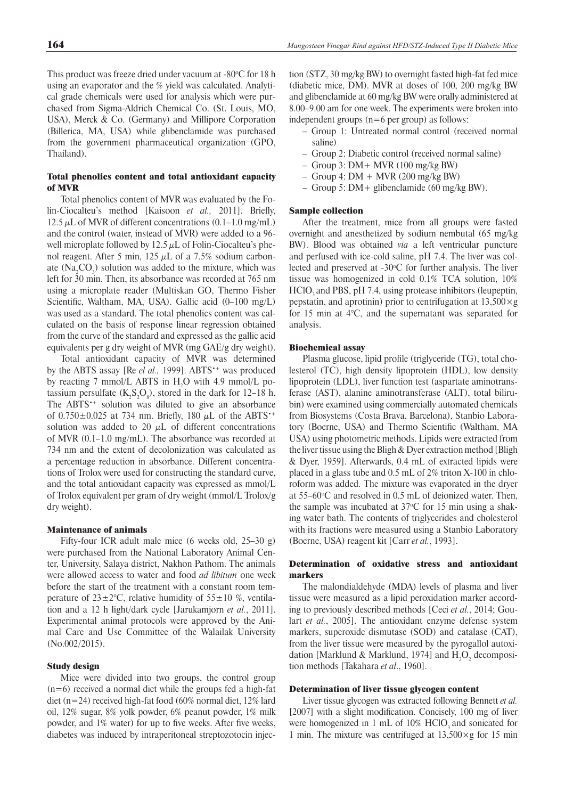This product was freeze dried under vacuum at  $-80^{\circ}$ C for 18 h using an evaporator and the % yield was calculated. Analytical grade chemicals were used for analysis which were purchased from Sigma-Aldrich Chemical Co. (St. Louis, MO, USA), Merck & Co. (Germany) and Millipore Corporation (Billerica, MA, USA) while glibenclamide was purchased from the government pharmaceutical organization (GPO, Thailand).

## Total phenolics content and total antioxidant capacity of MVR

Total phenolics content of MVR was evaluated by the Folin-Ciocalteu's method [Kaisoon *et al.*, 2011]. Briefly, 12.5  $\mu$ L of MVR of different concentrations (0.1–1.0 mg/mL) and the control (water, instead of MVR) were added to a 96 well microplate followed by 12.5  $\mu$ L of Folin-Ciocalteu's phenol reagent. After 5 min, 125  $μ$ L of a 7.5% sodium carbonate  $(Na_2CO_3)$  solution was added to the mixture, which was left for 30 min. Then, its absorbance was recorded at 765 nm using a microplate reader (Multiskan GO, Thermo Fisher Scientific, Waltham, MA, USA). Gallic acid (0-100 mg/L) was used as a standard. The total phenolics content was calculated on the basis of response linear regression obtained from the curve of the standard and expressed as the gallic acid equivalents per g dry weight of MVR (mg GAE/g dry weight).

Total antioxidant capacity of MVR was determined by the ABTS assay [Re *el al.,* 1999]. ABTS<sup>\*+</sup> was produced by reacting 7 mmol/L ABTS in  $H_2O$  with 4.9 mmol/L potassium persulfate  $(K_2S_2O_8)$ , stored in the dark for 12–18 h. The ABTS<sup>\*+</sup> solution was diluted to give an absorbance of  $0.750\pm0.025$  at 734 nm. Briefly, 180  $\mu$ L of the ABTS<sup>++</sup> solution was added to 20  $\mu$ L of different concentrations of MVR (0.1–1.0 mg/mL). The absorbance was recorded at 734 nm and the extent of decolonization was calculated as a percentage reduction in absorbance. Different concentrations of Trolox were used for constructing the standard curve, and the total antioxidant capacity was expressed as mmol/L of Trolox equivalent per gram of dry weight (mmol/L Trolox/g dry weight).

#### Maintenance of animals

Fifty-four ICR adult male mice (6 weeks old, 25–30 g) were purchased from the National Laboratory Animal Center, University, Salaya district, Nakhon Pathom. The animals were allowed access to water and food *ad libitum* one week before the start of the treatment with a constant room temperature of  $23 \pm 2$ °C, relative humidity of  $55 \pm 10$  %, ventilation and a 12 h light/dark cycle [Jarukamjorn *et al.*, 2011]. Experimental animal protocols were approved by the Animal Care and Use Committee of the Walailak University (No.002/2015).

### Study design

Mice were divided into two groups, the control group  $(n=6)$  received a normal diet while the groups fed a high-fat diet (n=24) received high-fat food (60% normal diet, 12% lard oil, 12% sugar, 8% yolk powder, 6% peanut powder, 1% milk powder, and 1% water) for up to five weeks. After five weeks, diabetes was induced by intraperitoneal streptozotocin injection (STZ, 30 mg/kg BW) to overnight fasted high-fat fed mice (diabetic mice, DM). MVR at doses of 100, 200 mg/kg BW and glibenclamide at 60 mg/kg BW were orally administered at 8.00–9.00 am for one week. The experiments were broken into independent groups (n=6 per group) as follows:

- Group 1: Untreated normal control (received normal saline)
- Group 2: Diabetic control (received normal saline)
- Group 3: DM+ MVR (100 mg/kg BW)
- Group 4:  $DM + MVR$  (200 mg/kg BW)
- Group 5: DM+ glibenclamide (60 mg/kg BW).

## Sample collection

After the treatment, mice from all groups were fasted overnight and anesthetized by sodium nembutal (65 mg/kg BW). Blood was obtained *via* a left ventricular puncture and perfused with ice-cold saline, pH 7.4. The liver was collected and preserved at  $-30^{\circ}$ C for further analysis. The liver tissue was homogenized in cold 0.1% TCA solution, 10% HClO<sub>3</sub> and PBS, pH 7.4, using protease inhibitors (leupeptin, pepstatin, and aprotinin) prior to centrifugation at  $13,500 \times g$ for 15 min at 4°C, and the supernatant was separated for analysis.

#### Biochemical assay

Plasma glucose, lipid profile (triglyceride (TG), total cholesterol (TC), high density lipoprotein (HDL), low density lipoprotein (LDL), liver function test (aspartate aminotransferase (AST), alanine aminotransferase (ALT), total bilirubin) were examined using commercially automated chemicals from Biosystems (Costa Brava, Barcelona), Stanbio Laboratory (Boerne, USA) and Thermo Scientific (Waltham, MA USA) using photometric methods. Lipids were extracted from the liver tissue using the Bligh  $&$  Dyer extraction method [Bligh] & Dyer, 1959]. Afterwards, 0.4 mL of extracted lipids were placed in a glass tube and 0.5 mL of 2% triton X-100 in chloroform was added. The mixture was evaporated in the dryer at  $55-60$ °C and resolved in 0.5 mL of deionized water. Then, the sample was incubated at  $37^{\circ}$ C for 15 min using a shaking water bath. The contents of triglycerides and cholesterol with its fractions were measured using a Stanbio Laboratory (Boerne, USA) reagent kit [Carr *et al.*, 1993].

## Determination of oxidative stress and antioxidant markers

The malondialdehyde (MDA) levels of plasma and liver tissue were measured as a lipid peroxidation marker according to previously described methods [Ceci *et al.*, 2014; Goulart *et al.*, 2005]. The antioxidant enzyme defense system markers, superoxide dismutase (SOD) and catalase (CAT), from the liver tissue were measured by the pyrogallol autoxidation [Marklund & Marklund, 1974] and  $H_2O_2$  decomposition methods [Takahara *et al*., 1960].

## Determination of liver tissue glycogen content

Liver tissue glycogen was extracted following Bennett *et al.* [2007] with a slight modification. Concisely, 100 mg of liver were homogenized in 1 mL of  $10\%$  HClO<sub>3</sub> and sonicated for 1 min. The mixture was centrifuged at  $13,500 \times g$  for 15 min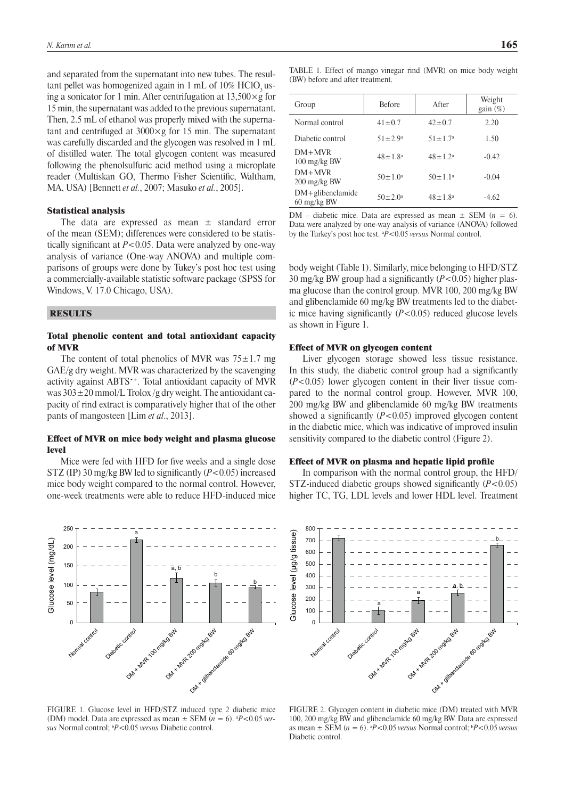and separated from the supernatant into new tubes. The resultant pellet was homogenized again in 1 mL of  $10\%$  HClO<sub>3</sub> using a sonicator for 1 min. After centrifugation at  $13,500 \times g$  for 15 min, the supernatant was added to the previous supernatant. Then, 2.5 mL of ethanol was properly mixed with the supernatant and centrifuged at  $3000 \times g$  for 15 min. The supernatant was carefully discarded and the glycogen was resolved in 1 mL of distilled water. The total glycogen content was measured following the phenolsulfuric acid method using a microplate reader (Multiskan GO, Thermo Fisher Scientific, Waltham, MA, USA) [Bennett *et al.*, 2007; Masuko *et al.*, 2005].

### Statistical analysis

The data are expressed as mean  $\pm$  standard error of the mean (SEM); differences were considered to be statistically significant at  $P < 0.05$ . Data were analyzed by one-way analysis of variance (One-way ANOVA) and multiple comparisons of groups were done by Tukey's post hoc test using a commercially-available statistic software package (SPSS for Windows, V. 17.0 Chicago, USA).

### **RESULTS**

# Total phenolic content and total antioxidant capacity of MVR

The content of total phenolics of MVR was  $75\pm1.7$  mg GAE/g dry weight. MVR was characterized by the scavenging activity against ABTS•+. Total antioxidant capacity of MVR was  $303 \pm 20$  mmol/L Trolox/g dry weight. The antioxidant capacity of rind extract is comparatively higher that of the other pants of mangosteen [Lim *et al*., 2013].

## Effect of MVR on mice body weight and plasma glucose level

Mice were fed with HFD for five weeks and a single dose STZ (IP) 30 mg/kg BW led to significantly (*P*<0.05) increased mice body weight compared to the normal control. However, one-week treatments were able to reduce HFD-induced mice



FIGURE 1. Glucose level in HFD/STZ induced type 2 diabetic mice (DM) model. Data are expressed as mean  $\pm$  SEM ( $n = 6$ ).  $\frac{aP}{0.05}$  *versus* Normal control; b *P*<0.05 *versus* Diabetic control.

TABLE 1. Effect of mango vinegar rind (MVR) on mice body weight (BW) before and after treatment.

| Group                                            | <b>Before</b>        | After                | Weight<br>gain $(\%)$ |  |
|--------------------------------------------------|----------------------|----------------------|-----------------------|--|
| Normal control                                   | $41 \pm 0.7$         | $42 \pm 0.7$         | 2.20                  |  |
| Diabetic control                                 | $51 \pm 2.9^{\circ}$ | $51 \pm 1.7^{\circ}$ | 1.50                  |  |
| $DM+MVR$<br>$100 \text{ mg/kg BW}$               | $48 \pm 1.8^a$       | $48 \pm 1.2^a$       | $-0.42$               |  |
| $DM+MVR$<br>$200 \frac{\text{mg}}{\text{kg BW}}$ | $50 \pm 1.0^{\circ}$ | $50 \pm 1.1^a$       | $-0.04$               |  |
| $DM +$ glibenclamide<br>$60 \text{ mg/kg BW}$    | $50 \pm 2.0^{\circ}$ | $48 \pm 1.8^a$       | $-4.62$               |  |

DM – diabetic mice. Data are expressed as mean ± SEM (*n* = 6). Data were analyzed by one-way analysis of variance (ANOVA) followed by the Turkey's post hoc test. a *P*<0.05 *versus* Normal control.

body weight (Table 1). Similarly, mice belonging to HFD/STZ 30 mg/kg BW group had a significantly  $(P<0.05)$  higher plasma glucose than the control group. MVR 100, 200 mg/kg BW and glibenclamide 60 mg/kg BW treatments led to the diabetic mice having significantly  $(P<0.05)$  reduced glucose levels as shown in Figure 1.

### Effect of MVR on glycogen content

Liver glycogen storage showed less tissue resistance. In this study, the diabetic control group had a significantly (*P*<0.05) lower glycogen content in their liver tissue compared to the normal control group. However, MVR 100, 200 mg/kg BW and glibenclamide 60 mg/kg BW treatments showed a significantly  $(P<0.05)$  improved glycogen content in the diabetic mice, which was indicative of improved insulin sensitivity compared to the diabetic control (Figure 2).

## Effect of MVR on plasma and hepatic lipid profile

In comparison with the normal control group, the HFD/ STZ-induced diabetic groups showed significantly  $(P<0.05)$ higher TC, TG, LDL levels and lower HDL level. Treatment



FIGURE 2. Glycogen content in diabetic mice (DM) treated with MVR 100, 200 mg/kg BW and glibenclamide 60 mg/kg BW. Data are expressed as mean  $\pm$  SEM ( $n = 6$ ). *P*<0.05 *versus* Normal control; *P*<0.05 *versus* Diabetic control.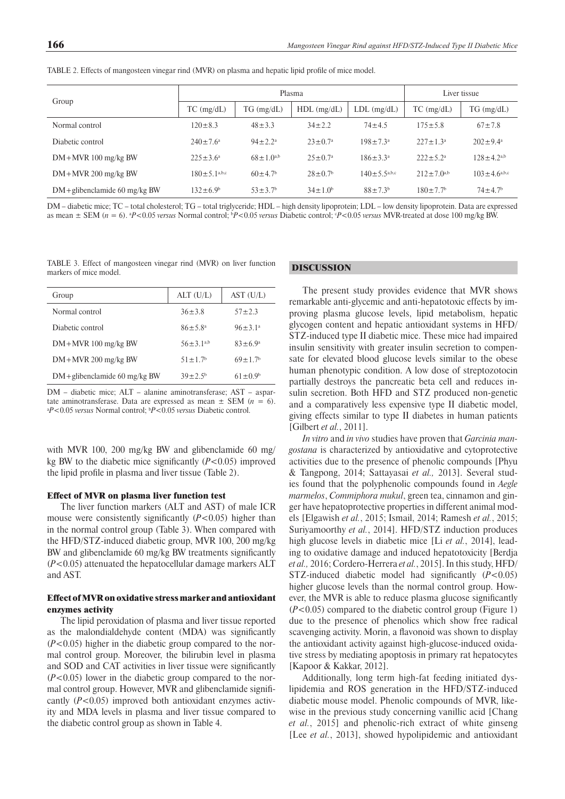|                                  |                              | Plasma                    | Liver tissue              |                       |                            |                           |
|----------------------------------|------------------------------|---------------------------|---------------------------|-----------------------|----------------------------|---------------------------|
| Group                            | $TC$ (mg/dL)                 | $TG$ (mg/dL)              | $HDL$ (mg/dL)             | $LDL$ (mg/dL)         | $TC$ (mg/dL)               | $TG \, (mg/dL)$           |
| Normal control                   | $120 \pm 8.3$                | $48 \pm 3.3$              | $34 \pm 2.2$              | $74 \pm 4.5$          | $175 \pm 5.8$              | $67 \pm 7.8$              |
| Diabetic control                 | $240 \pm 7.6^{\circ}$        | $94 \pm 2.2^a$            | $23 \pm 0.7^{\circ}$      | $198 \pm 7.3^{\circ}$ | $227 \pm 1.3^a$            | $202 \pm 9.4^{\circ}$     |
| $DM+MVR$ 100 mg/kg BW            | $225 \pm 3.6^a$              | $68 \pm 1.0^{a,b}$        | $25 \pm 0.7^{\circ}$      | $186 \pm 3.3^{\circ}$ | $222 \pm 5.2^{\circ}$      | $128 \pm 4.2^{a,b}$       |
| $DM+MVR$ 200 mg/kg BW            | $180 \pm 5.1^{\text{a,b,c}}$ | $60 \pm 4.7$ <sup>b</sup> | $28 \pm 0.7$ <sup>b</sup> | $140 \pm 5.5^{a,b,c}$ | $212 \pm 7.0^{a,b}$        | $103 \pm 4.6^{a,b,c}$     |
| $DM +$ glibenclamide 60 mg/kg BW | $132 \pm 6.9^b$              | $53 \pm 3.7$ <sup>b</sup> | $34 \pm 1.0^b$            | $88 \pm 7.3^{\rm b}$  | $180 \pm 7.7$ <sup>b</sup> | $74 \pm 4.7$ <sup>b</sup> |

TABLE 2. Effects of mangosteen vinegar rind (MVR) on plasma and hepatic lipid profile of mice model.

DM – diabetic mice; TC – total cholesterol; TG – total triglyceride; HDL – high density lipoprotein; LDL – low density lipoprotein. Data are expressed as mean ± SEM (*n* = 6). a *P*<0.05 *versus* Normal control; b *P*<0.05 *versus* Diabetic control; c *P*<0.05 *versus* MVR-treated at dose 100 mg/kg BW.

TABLE 3. Effect of mangosteen vinegar rind (MVR) on liver function markers of mice model.

| Group                            | ALT(U/L)                  | AST(U/L)             |
|----------------------------------|---------------------------|----------------------|
| Normal control                   | $36 \pm 3.8$              | $57 + 2.3$           |
| Diabetic control                 | $86 \pm 5.8^{\circ}$      | $96 \pm 3.1^a$       |
| $DM+MVR$ 100 mg/kg BW            | $56 + 3$ 1 <sup>a,b</sup> | $83 \pm 6.9^{\circ}$ |
| $DM+MVR$ 200 mg/kg BW            | $51 + 17$                 | $69+17$              |
| $DM +$ glibenclamide 60 mg/kg BW | $39 + 2.5$                | $61 \pm 0.9^b$       |

DM – diabetic mice; ALT – alanine aminotransferase; AST – aspartate aminotransferase. Data are expressed as mean  $\pm$  SEM ( $n=6$ ). *P*<0.05 *versus* Normal control; b *P*<0.05 *versus* Diabetic control.

with MVR 100, 200 mg/kg BW and glibenclamide 60 mg/ kg BW to the diabetic mice significantly  $(P<0.05)$  improved the lipid profile in plasma and liver tissue (Table 2).

### Effect of MVR on plasma liver function test

The liver function markers (ALT and AST) of male ICR mouse were consistently significantly  $(P<0.05)$  higher than in the normal control group (Table 3). When compared with the HFD/STZ-induced diabetic group, MVR 100, 200 mg/kg BW and glibenclamide 60 mg/kg BW treatments significantly (*P*<0.05) attenuated the hepatocellular damage markers ALT and AST.

## Effect ofMVR on oxidative stress marker and antioxidant enzymes activity

The lipid peroxidation of plasma and liver tissue reported as the malondialdehyde content (MDA) was significantly (*P*<0.05) higher in the diabetic group compared to the normal control group. Moreover, the bilirubin level in plasma and SOD and CAT activities in liver tissue were significantly (*P*<0.05) lower in the diabetic group compared to the normal control group. However, MVR and glibenclamide significantly (*P*<0.05) improved both antioxidant enzymes activity and MDA levels in plasma and liver tissue compared to the diabetic control group as shown in Table 4.

#### DISCUSSION

The present study provides evidence that MVR shows remarkable anti-glycemic and anti-hepatotoxic effects by improving plasma glucose levels, lipid metabolism, hepatic glycogen content and hepatic antioxidant systems in HFD/ STZ-induced type II diabetic mice. These mice had impaired insulin sensitivity with greater insulin secretion to compensate for elevated blood glucose levels similar to the obese human phenotypic condition. A low dose of streptozotocin partially destroys the pancreatic beta cell and reduces insulin secretion. Both HFD and STZ produced non-genetic and a comparatively less expensive type II diabetic model, giving effects similar to type II diabetes in human patients [Gilbert *et al.*, 2011].

*In vitro* and *in vivo* studies have proven that *Garcinia mangostana* is characterized by antioxidative and cytoprotective activities due to the presence of phenolic compounds [Phyu & Tangpong, 2014; Sattayasai *et al.,* 2013]. Several studies found that the polyphenolic compounds found in *Aegle marmelos*, *Commiphora mukul*, green tea, cinnamon and ginger have hepatoprotective properties in different animal models [Elgawish *et al.*, 2015; Ismail, 2014; Ramesh *et al.*, 2015; Suriyamoorthy *et al.*, 2014]. HFD/STZ induction produces high glucose levels in diabetic mice [Li *et al.*, 2014], leading to oxidative damage and induced hepatotoxicity [Berdja *et al.,* 2016; Cordero-Herrera *et al.*, 2015]. In this study, HFD/ STZ-induced diabetic model had significantly  $(P<0.05)$ higher glucose levels than the normal control group. However, the MVR is able to reduce plasma glucose significantly (*P*<0.05) compared to the diabetic control group (Figure 1) due to the presence of phenolics which show free radical scavenging activity. Morin, a flavonoid was shown to display the antioxidant activity against high-glucose-induced oxidative stress by mediating apoptosis in primary rat hepatocytes [Kapoor & Kakkar, 2012].

Additionally, long term high-fat feeding initiated dyslipidemia and ROS generation in the HFD/STZ-induced diabetic mouse model. Phenolic compounds of MVR, likewise in the previous study concerning vanillic acid [Chang *et al.*, 2015] and phenolic-rich extract of white ginseng [Lee *et al.*, 2013], showed hypolipidemic and antioxidant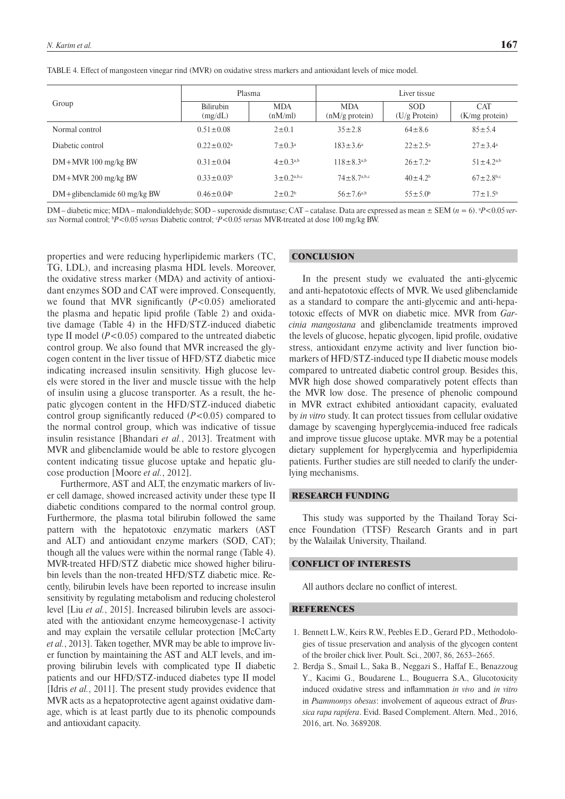|  |  |  |  |  | TABLE 4. Effect of mangosteen vinegar rind (MVR) on oxidative stress markers and antioxidant levels of mice model. |  |  |  |  |  |
|--|--|--|--|--|--------------------------------------------------------------------------------------------------------------------|--|--|--|--|--|
|--|--|--|--|--|--------------------------------------------------------------------------------------------------------------------|--|--|--|--|--|

|                                  | Plasma                     |                       | Liver tissue                    |                               |                                 |  |
|----------------------------------|----------------------------|-----------------------|---------------------------------|-------------------------------|---------------------------------|--|
| Group                            | Bilirubin<br>(mg/dL)       | <b>MDA</b><br>(nM/ml) | <b>MDA</b><br>$(nM/g)$ protein) | <b>SOD</b><br>$(U/g$ Protein) | <b>CAT</b><br>$(K/mg)$ protein) |  |
| Normal control                   | $0.51 \pm 0.08$            | $2 \pm 0.1$           | $35 \pm 2.8$                    | $64 \pm 8.6$                  | $85 \pm 5.4$                    |  |
| Diabetic control                 | $0.22 \pm 0.02^{\text{a}}$ | $7 \pm 0.3^{\circ}$   | $183 \pm 3.6^a$                 | $22 \pm 2.5^{\circ}$          | $27 \pm 3.4^{\circ}$            |  |
| $DM+MVR$ 100 mg/kg BW            | $0.31 \pm 0.04$            | $4 \pm 0.3^{a,b}$     | $118 \pm 8.3^{a,b}$             | $26 \pm 7.2^{\circ}$          | $51 \pm 4.2^{a,b}$              |  |
| $DM+MVR$ 200 mg/kg BW            | $0.33 \pm 0.03^b$          | $3 \pm 0.2^{a,b,c}$   | $74 \pm 8.7^{a,b,c}$            | $40 \pm 4.2^b$                | $67 \pm 2.8$ <sup>b,c</sup>     |  |
| $DM +$ glibenclamide 60 mg/kg BW | $0.46 \pm 0.04^b$          | $2 \pm 0.2^b$         | $56 \pm 7.6^{a,b}$              | $55 \pm 5.0^{\circ}$          | $77 \pm 1.5^{\rm b}$            |  |

DM – diabetic mice; MDA – malondialdehyde; SOD – superoxide dismutase; CAT – catalase. Data are expressed as mean ± SEM (*n* = 6). a *P*<0.05 *versus* Normal control;  ${}^{\text{b}}P$  < 0.05 *versus* Diabetic control;  ${}^{\text{c}}P$  < 0.05 *versus* MVR-treated at dose 100 mg/kg BW.

properties and were reducing hyperlipidemic markers (TC, TG, LDL), and increasing plasma HDL levels. Moreover, the oxidative stress marker (MDA) and activity of antioxidant enzymes SOD and CAT were improved. Consequently, we found that MVR significantly  $(P<0.05)$  ameliorated the plasma and hepatic lipid profile (Table 2) and oxidative damage (Table 4) in the HFD/STZ-induced diabetic type II model (*P*<0.05) compared to the untreated diabetic control group. We also found that MVR increased the glycogen content in the liver tissue of HFD/STZ diabetic mice indicating increased insulin sensitivity. High glucose levels were stored in the liver and muscle tissue with the help of insulin using a glucose transporter. As a result, the hepatic glycogen content in the HFD/STZ-induced diabetic control group significantly reduced  $(P<0.05)$  compared to the normal control group, which was indicative of tissue insulin resistance [Bhandari *et al.*, 2013]. Treatment with MVR and glibenclamide would be able to restore glycogen content indicating tissue glucose uptake and hepatic glucose production [Moore *et al.*, 2012].

Furthermore, AST and ALT, the enzymatic markers of liver cell damage, showed increased activity under these type II diabetic conditions compared to the normal control group. Furthermore, the plasma total bilirubin followed the same pattern with the hepatotoxic enzymatic markers (AST and ALT) and antioxidant enzyme markers (SOD, CAT); though all the values were within the normal range (Table 4). MVR-treated HFD/STZ diabetic mice showed higher bilirubin levels than the non-treated HFD/STZ diabetic mice. Recently, bilirubin levels have been reported to increase insulin sensitivity by regulating metabolism and reducing cholesterol level [Liu *et al.*, 2015]. Increased bilirubin levels are associated with the antioxidant enzyme hemeoxygenase-1 activity and may explain the versatile cellular protection [McCarty *et al.*, 2013]. Taken together, MVR may be able to improve liver function by maintaining the AST and ALT levels, and improving bilirubin levels with complicated type II diabetic patients and our HFD/STZ-induced diabetes type II model [Idris *et al.*, 2011]. The present study provides evidence that MVR acts as a hepatoprotective agent against oxidative damage, which is at least partly due to its phenolic compounds and antioxidant capacity.

## **CONCLUSION**

In the present study we evaluated the anti-glycemic and anti-hepatotoxic effects of MVR. We used glibenclamide as a standard to compare the anti-glycemic and anti-hepatotoxic effects of MVR on diabetic mice. MVR from *Garcinia mangostana* and glibenclamide treatments improved the levels of glucose, hepatic glycogen, lipid profile, oxidative stress, antioxidant enzyme activity and liver function biomarkers of HFD/STZ-induced type II diabetic mouse models compared to untreated diabetic control group. Besides this, MVR high dose showed comparatively potent effects than the MVR low dose. The presence of phenolic compound in MVR extract exhibited antioxidant capacity, evaluated by *in vitro* study. It can protect tissues from cellular oxidative damage by scavenging hyperglycemia-induced free radicals and improve tissue glucose uptake. MVR may be a potential dietary supplement for hyperglycemia and hyperlipidemia patients. Further studies are still needed to clarify the underlying mechanisms.

### RESEARCH FUNDING

This study was supported by the Thailand Toray Science Foundation (TTSF) Research Grants and in part by the Walailak University, Thailand.

### CONFLICT OF INTERESTS

All authors declare no conflict of interest.

#### REFERENCES

- 1. Bennett L.W., Keirs R.W., Peebles E.D., Gerard P.D., Methodologies of tissue preservation and analysis of the glycogen content of the broiler chick liver. Poult. Sci., 2007, 86, 2653–2665.
- 2. Berdja S., Smail L., Saka B., Neggazi S., Haffaf E., Benazzoug Y., Kacimi G., Boudarene L., Bouguerra S.A., Glucotoxicity induced oxidative stress and inflammation *in vivo* and *in vitro* in *Psammomys obesus*: involvement of aqueous extract of *Brassica rapa rapifera*. Evid. Based Complement. Altern. Med., 2016, 2016, art. No. 3689208.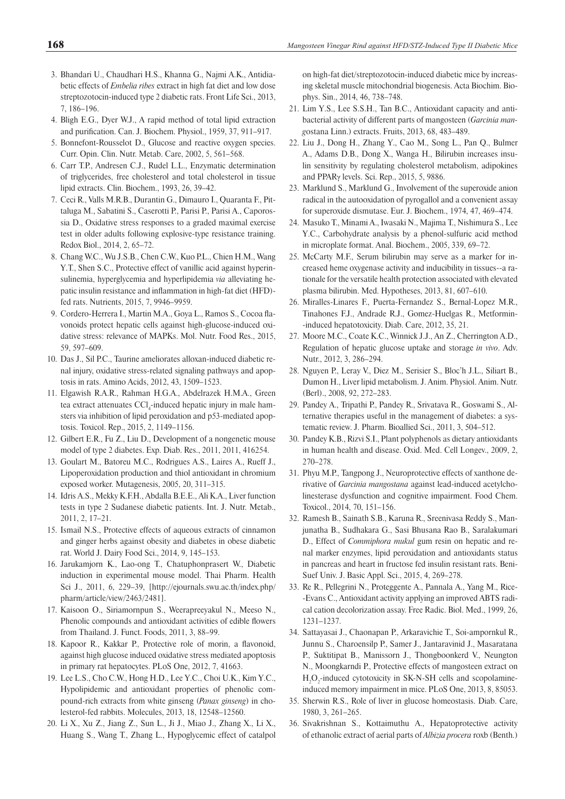- 3. Bhandari U., Chaudhari H.S., Khanna G., Najmi A.K., Antidiabetic effects of *Embelia ribes* extract in high fat diet and low dose streptozotocin-induced type 2 diabetic rats. Front Life Sci., 2013, 7, 186–196.
- 4. Bligh E.G., Dyer W.J., A rapid method of total lipid extraction and purification. Can. J. Biochem. Physiol., 1959, 37, 911-917.
- 5. Bonnefont-Rousselot D., Glucose and reactive oxygen species. Curr. Opin. Clin. Nutr. Metab. Care, 2002, 5, 561–568.
- 6. Carr T.P., Andresen C.J., Rudel L.L., Enzymatic determination of triglycerides, free cholesterol and total cholesterol in tissue lipid extracts. Clin. Biochem., 1993, 26, 39–42.
- 7. Ceci R., Valls M.R.B., Durantin G., Dimauro I., Quaranta F., Pittaluga M., Sabatini S., Caserotti P., Parisi P., Parisi A., Caporossia D., Oxidative stress responses to a graded maximal exercise test in older adults following explosive-type resistance training. Redox Biol., 2014, 2, 65–72.
- 8. Chang W.C., Wu J.S.B., Chen C.W., Kuo P.L., Chien H.M., Wang Y.T., Shen S.C., Protective effect of vanillic acid against hyperinsulinemia, hyperglycemia and hyperlipidemia *via* alleviating hepatic insulin resistance and inflammation in high-fat diet (HFD)fed rats. Nutrients, 2015, 7, 9946–9959.
- 9. Cordero-Herrera I., Martin M.A., Goya L., Ramos S., Cocoa flavonoids protect hepatic cells against high-glucose-induced oxidative stress: relevance of MAPKs. Mol. Nutr. Food Res., 2015, 59, 597–609.
- 10. Das J., Sil P.C., Taurine ameliorates alloxan-induced diabetic renal injury, oxidative stress-related signaling pathways and apoptosis in rats. Amino Acids, 2012, 43, 1509–1523.
- 11. Elgawish R.A.R., Rahman H.G.A., Abdelrazek H.M.A., Green tea extract attenuates CCl<sub>4</sub>-induced hepatic injury in male hamsters via inhibition of lipid peroxidation and p53-mediated apoptosis. Toxicol. Rep., 2015, 2, 1149–1156.
- 12. Gilbert E.R., Fu Z., Liu D., Development of a nongenetic mouse model of type 2 diabetes. Exp. Diab. Res., 2011, 2011, 416254.
- 13. Goulart M., Batoreu M.C., Rodrigues A.S., Laires A., Rueff J., Lipoperoxidation production and thiol antioxidant in chromium exposed worker. Mutagenesis, 2005, 20, 311–315.
- 14. Idris A.S., Mekky K.F.H., Abdalla B.E.E., Ali K.A., Liver function tests in type 2 Sudanese diabetic patients. Int. J. Nutr. Metab., 2011, 2, 17–21.
- 15. Ismail N.S., Protective effects of aqueous extracts of cinnamon and ginger herbs against obesity and diabetes in obese diabetic rat. World J. Dairy Food Sci., 2014, 9, 145–153.
- 16. Jarukamjorn K., Lao-ong T., Chatuphonprasert W., Diabetic induction in experimental mouse model. Thai Pharm. Health Sci J., 2011, 6, 229–39, [http://ejournals.swu.ac.th/index.php/ pharm/article/view/2463/2481].
- 17. Kaisoon O., Siriamornpun S., Weerapreeyakul N., Meeso N., Phenolic compounds and antioxidant activities of edible flowers from Thailand. J. Funct. Foods, 2011, 3, 88–99.
- 18. Kapoor R., Kakkar P., Protective role of morin, a flavonoid, against high glucose induced oxidative stress mediated apoptosis in primary rat hepatocytes. PLoS One, 2012, 7, 41663.
- 19. Lee L.S., Cho C.W., Hong H.D., Lee Y.C., Choi U.K., Kim Y.C., Hypolipidemic and antioxidant properties of phenolic compound-rich extracts from white ginseng (*Panax ginseng*) in cholesterol-fed rabbits. Molecules, 2013, 18, 12548–12560.
- 20. Li X., Xu Z., Jiang Z., Sun L., Ji J., Miao J., Zhang X., Li X., Huang S., Wang T., Zhang L., Hypoglycemic effect of catalpol

on high-fat diet/streptozotocin-induced diabetic mice by increasing skeletal muscle mitochondrial biogenesis. Acta Biochim. Biophys. Sin., 2014, 46, 738–748.

- 21. Lim Y.S., Lee S.S.H., Tan B.C., Antioxidant capacity and antibacterial activity of different parts of mangosteen (*Garcinia mang*ostana Linn.) extracts. Fruits, 2013, 68, 483–489.
- 22. Liu J., Dong H., Zhang Y., Cao M., Song L., Pan Q., Bulmer A., Adams D.B., Dong X., Wanga H., Bilirubin increases insulin sensitivity by regulating cholesterol metabolism, adipokines and PPARγ levels. Sci. Rep., 2015, 5, 9886.
- 23. Marklund S., Marklund G., Involvement of the superoxide anion radical in the autooxidation of pyrogallol and a convenient assay for superoxide dismutase. Eur. J. Biochem., 1974, 47, 469–474.
- 24. Masuko T., Minami A., Iwasaki N., Majima T., Nishimura S., Lee Y.C., Carbohydrate analysis by a phenol-sulfuric acid method in microplate format. Anal. Biochem., 2005, 339, 69–72.
- 25. McCarty M.F., Serum bilirubin may serve as a marker for increased heme oxygenase activity and inducibility in tissues--a rationale for the versatile health protection associated with elevated plasma bilirubin. Med. Hypotheses, 2013, 81, 607–610.
- 26. Miralles-Linares F., Puerta-Fernandez S., Bernal-Lopez M.R., Tinahones F.J., Andrade R.J., Gomez-Huelgas R., Metformin- -induced hepatotoxicity. Diab. Care, 2012, 35, 21.
- 27. Moore M.C., Coate K.C., Winnick J.J., An Z., Cherrington A.D., Regulation of hepatic glucose uptake and storage *in vivo*. Adv. Nutr., 2012, 3, 286–294.
- 28. Nguyen P., Leray V., Diez M., Serisier S., Bloc'h J.L., Siliart B., Dumon H., Liver lipid metabolism. J. Anim. Physiol. Anim. Nutr. (Berl)., 2008, 92, 272–283.
- 29. Pandey A., Tripathi P., Pandey R., Srivatava R., Goswami S., Alternative therapies useful in the management of diabetes: a systematic review. J. Pharm. Bioallied Sci., 2011, 3, 504–512.
- 30. Pandey K.B., Rizvi S.I., Plant polyphenols as dietary antioxidants in human health and disease. Oxid. Med. Cell Longev., 2009, 2, 270–278.
- 31. Phyu M.P., Tangpong J., Neuroprotective effects of xanthone derivative of *Garcinia mangostana* against lead-induced acetylcholinesterase dysfunction and cognitive impairment. Food Chem. Toxicol., 2014, 70, 151–156.
- 32. Ramesh B., Sainath S.B., Karuna R., Sreenivasa Reddy S., Manjunatha B., Sudhakara G., Sasi Bhusana Rao B., Saralakumari D., Effect of *Commiphora mukul* gum resin on hepatic and renal marker enzymes, lipid peroxidation and antioxidants status in pancreas and heart in fructose fed insulin resistant rats. Beni-Suef Univ. J. Basic Appl. Sci., 2015, 4, 269–278.
- 33. Re R., Pellegrini N., Proteggente A., Pannala A., Yang M., Rice- -Evans C., Antioxidant activity applying an improved ABTS radical cation decolorization assay. Free Radic. Biol. Med., 1999, 26, 1231–1237.
- 34. Sattayasai J., Chaonapan P., Arkaravichie T., Soi-ampornkul R., Junnu S., Charoensilp P., Samer J., Jantaravinid J., Masaratana P., Suktitipat B., Manissorn J., Thongboonkerd V., Neungton N., Moongkarndi P., Protective effects of mangosteen extract on  $H_2O_2$ -induced cytotoxicity in SK-N-SH cells and scopolamineinduced memory impairment in mice. PLoS One, 2013, 8, 85053.
- 35. Sherwin R.S., Role of liver in glucose homeostasis. Diab. Care, 1980, 3, 261–265.
- 36. Sivakrishnan S., Kottaimuthu A., Hepatoprotective activity of ethanolic extract of aerial parts of *Albizia procera* roxb (Benth.)